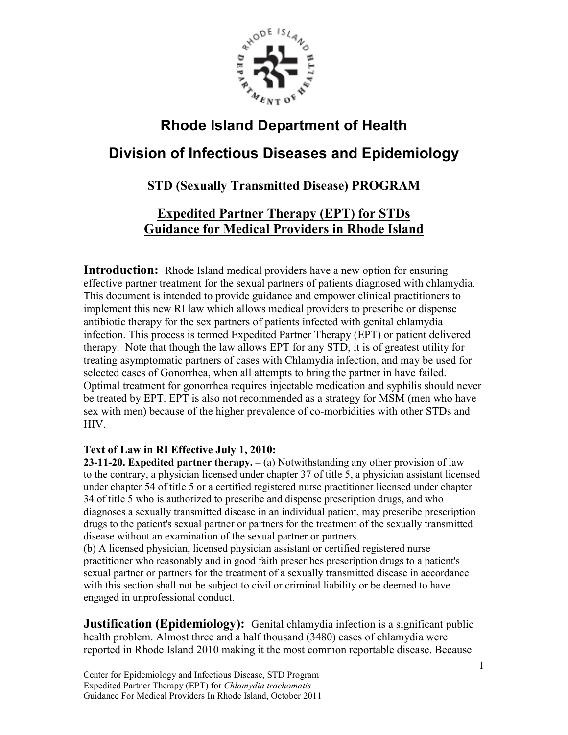

# **Rhode Island Department of Health**

## **Division of Infectious Diseases and Epidemiology**

## **STD (Sexually Transmitted Disease) PROGRAM**

## **Expedited Partner Therapy (EPT) for STDs** **Guidance for Medical Providers in Rhode Island**

**Introduction:** Rhode Island medical providers have a new option for ensuring effective partner treatment for the sexual partners of patients diagnosed with chlamydia. This document is intended to provide guidance and empower clinical practitioners to implement this new RI law which allows medical providers to prescribe or dispense antibiotic therapy for the sex partners of patients infected with genital chlamydia infection. This process is termed Expedited Partner Therapy (EPT) or patient delivered therapy. Note that though the law allows EPT for any STD, it is of greatest utility for treating asymptomatic partners of cases with Chlamydia infection, and may be used for selected cases of Gonorrhea, when all attempts to bring the partner in have failed. Optimal treatment for gonorrhea requires injectable medication and syphilis should never be treated by EPT. EPT is also not recommended as a strategy for MSM (men who have sex with men) because of the higher prevalence of co-morbidities with other STDs and HIV.

#### **Text of Law in RI Effective July 1, 2010:**

**23-11-20. Expedited partner therapy. –** (a) Notwithstanding any other provision of law to the contrary, a physician licensed under chapter 37 of title 5, a physician assistant licensed under chapter 54 of title 5 or a certified registered nurse practitioner licensed under chapter 34 of title 5 who is authorized to prescribe and dispense prescription drugs, and who diagnoses a sexually transmitted disease in an individual patient, may prescribe prescription drugs to the patient's sexual partner or partners for the treatment of the sexually transmitted disease without an examination of the sexual partner or partners.

(b) A licensed physician, licensed physician assistant or certified registered nurse practitioner who reasonably and in good faith prescribes prescription drugs to a patient's sexual partner or partners for the treatment of a sexually transmitted disease in accordance with this section shall not be subject to civil or criminal liability or be deemed to have engaged in unprofessional conduct.

**Justification (Epidemiology):** Genital chlamydia infection is a significant public health problem. Almost three and a half thousand (3480) cases of chlamydia were reported in Rhode Island 2010 making it the most common reportable disease. Because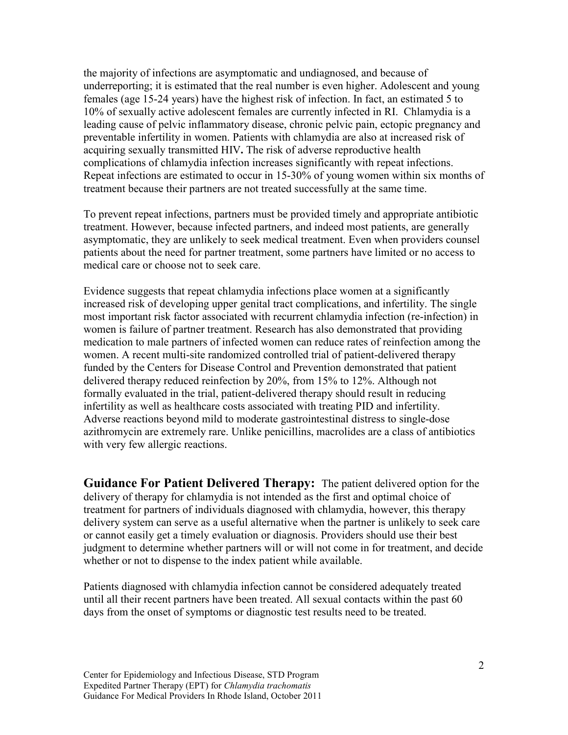the majority of infections are asymptomatic and undiagnosed, and because of underreporting; it is estimated that the real number is even higher. Adolescent and young females (age 15-24 years) have the highest risk of infection. In fact, an estimated 5 to 10% of sexually active adolescent females are currently infected in RI. Chlamydia is a leading cause of pelvic inflammatory disease, chronic pelvic pain, ectopic pregnancy and preventable infertility in women. Patients with chlamydia are also at increased risk of acquiring sexually transmitted HIV**.** The risk of adverse reproductive health complications of chlamydia infection increases significantly with repeat infections. Repeat infections are estimated to occur in 15-30% of young women within six months of treatment because their partners are not treated successfully at the same time.

To prevent repeat infections, partners must be provided timely and appropriate antibiotic treatment. However, because infected partners, and indeed most patients, are generally asymptomatic, they are unlikely to seek medical treatment. Even when providers counsel patients about the need for partner treatment, some partners have limited or no access to medical care or choose not to seek care.

Evidence suggests that repeat chlamydia infections place women at a significantly increased risk of developing upper genital tract complications, and infertility. The single most important risk factor associated with recurrent chlamydia infection (re-infection) in women is failure of partner treatment. Research has also demonstrated that providing medication to male partners of infected women can reduce rates of reinfection among the women. A recent multi-site randomized controlled trial of patient-delivered therapy funded by the Centers for Disease Control and Prevention demonstrated that patient delivered therapy reduced reinfection by 20%, from 15% to 12%. Although not formally evaluated in the trial, patient-delivered therapy should result in reducing infertility as well as healthcare costs associated with treating PID and infertility. Adverse reactions beyond mild to moderate gastrointestinal distress to single-dose azithromycin are extremely rare. Unlike penicillins, macrolides are a class of antibiotics with very few allergic reactions.

**Guidance For Patient Delivered Therapy:** The patient delivered option for the delivery of therapy for chlamydia is not intended as the first and optimal choice of treatment for partners of individuals diagnosed with chlamydia, however, this therapy delivery system can serve as a useful alternative when the partner is unlikely to seek care or cannot easily get a timely evaluation or diagnosis. Providers should use their best judgment to determine whether partners will or will not come in for treatment, and decide whether or not to dispense to the index patient while available.

Patients diagnosed with chlamydia infection cannot be considered adequately treated until all their recent partners have been treated. All sexual contacts within the past 60 days from the onset of symptoms or diagnostic test results need to be treated.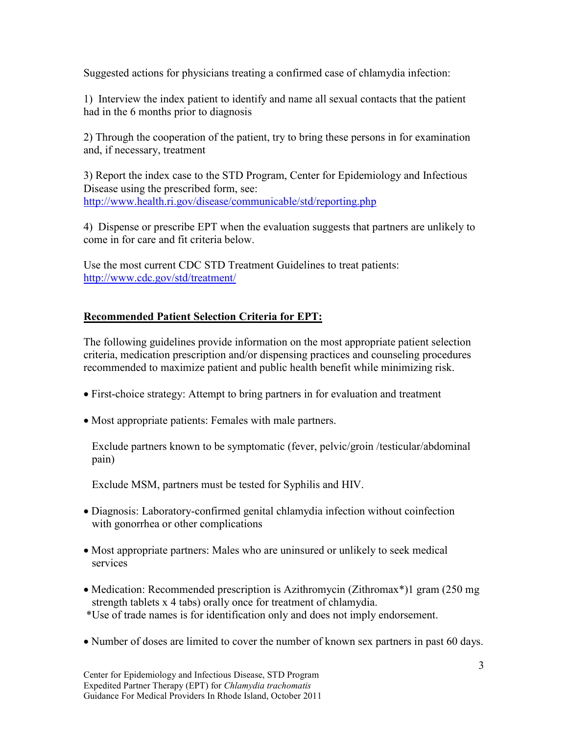Suggested actions for physicians treating a confirmed case of chlamydia infection:

1) Interview the index patient to identify and name all sexual contacts that the patient had in the 6 months prior to diagnosis

2) Through the cooperation of the patient, try to bring these persons in for examination and, if necessary, treatment

3) Report the index case to the STD Program, Center for Epidemiology and Infectious Disease using the prescribed form, see: http://www.health.ri.gov/disease/communicable/std/reporting.php

4) Dispense or prescribe EPT when the evaluation suggests that partners are unlikely to come in for care and fit criteria below.

Use the most current CDC STD Treatment Guidelines to treat patients: http://www.cdc.gov/std/treatment/

#### **Recommended Patient Selection Criteria for EPT:**

The following guidelines provide information on the most appropriate patient selection criteria, medication prescription and/or dispensing practices and counseling procedures recommended to maximize patient and public health benefit while minimizing risk.

- First-choice strategy: Attempt to bring partners in for evaluation and treatment
- Most appropriate patients: Females with male partners.

 Exclude partners known to be symptomatic (fever, pelvic/groin /testicular/abdominal pain)

Exclude MSM, partners must be tested for Syphilis and HIV.

- Diagnosis: Laboratory-confirmed genital chlamydia infection without coinfection with gonorrhea or other complications
- Most appropriate partners: Males who are uninsured or unlikely to seek medical services
- Medication: Recommended prescription is Azithromycin (Zithromax<sup>\*</sup>)1 gram (250 mg strength tablets x 4 tabs) orally once for treatment of chlamydia.
- \*Use of trade names is for identification only and does not imply endorsement.
- Number of doses are limited to cover the number of known sex partners in past 60 days.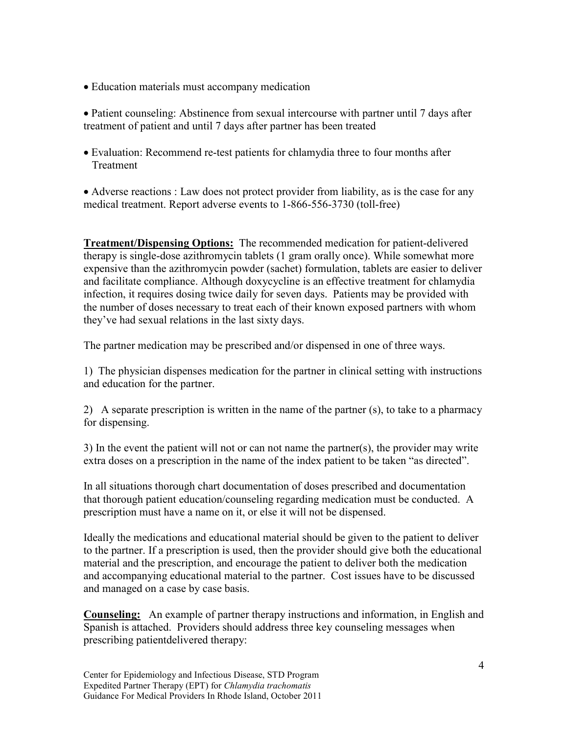• Education materials must accompany medication

• Patient counseling: Abstinence from sexual intercourse with partner until 7 days after treatment of patient and until 7 days after partner has been treated

• Evaluation: Recommend re-test patients for chlamydia three to four months after Treatment

• Adverse reactions : Law does not protect provider from liability, as is the case for any medical treatment. Report adverse events to 1-866-556-3730 (toll-free)

**Treatment/Dispensing Options:** The recommended medication for patient-delivered therapy is single-dose azithromycin tablets (1 gram orally once). While somewhat more expensive than the azithromycin powder (sachet) formulation, tablets are easier to deliver and facilitate compliance. Although doxycycline is an effective treatment for chlamydia infection, it requires dosing twice daily for seven days. Patients may be provided with the number of doses necessary to treat each of their known exposed partners with whom they've had sexual relations in the last sixty days.

The partner medication may be prescribed and/or dispensed in one of three ways.

1) The physician dispenses medication for the partner in clinical setting with instructions and education for the partner.

2) A separate prescription is written in the name of the partner (s), to take to a pharmacy for dispensing.

3) In the event the patient will not or can not name the partner(s), the provider may write extra doses on a prescription in the name of the index patient to be taken "as directed".

In all situations thorough chart documentation of doses prescribed and documentation that thorough patient education/counseling regarding medication must be conducted. A prescription must have a name on it, or else it will not be dispensed.

Ideally the medications and educational material should be given to the patient to deliver to the partner. If a prescription is used, then the provider should give both the educational material and the prescription, and encourage the patient to deliver both the medication and accompanying educational material to the partner. Cost issues have to be discussed and managed on a case by case basis.

**Counseling:** An example of partner therapy instructions and information, in English and Spanish is attached. Providers should address three key counseling messages when prescribing patientdelivered therapy: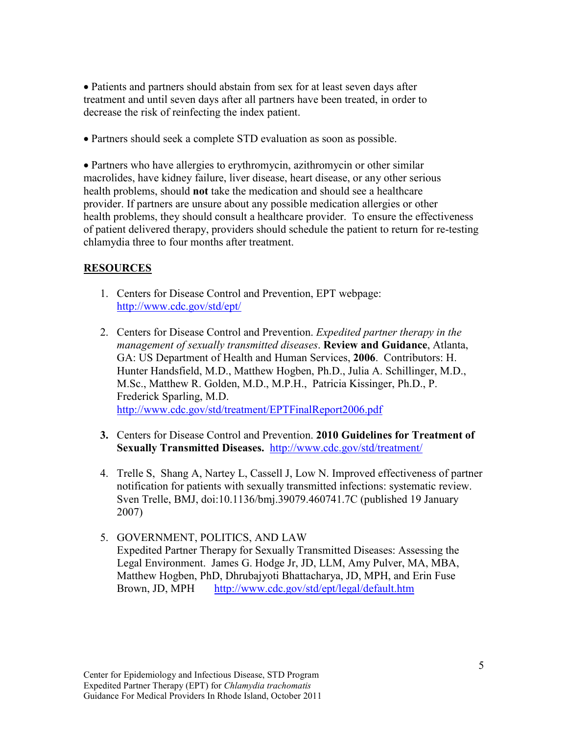• Patients and partners should abstain from sex for at least seven days after treatment and until seven days after all partners have been treated, in order to decrease the risk of reinfecting the index patient.

• Partners should seek a complete STD evaluation as soon as possible.

• Partners who have allergies to erythromycin, azithromycin or other similar macrolides, have kidney failure, liver disease, heart disease, or any other serious health problems, should **not** take the medication and should see a healthcare provider. If partners are unsure about any possible medication allergies or other health problems, they should consult a healthcare provider. To ensure the effectiveness of patient delivered therapy, providers should schedule the patient to return for re-testing chlamydia three to four months after treatment.

#### **RESOURCES**

- 1. Centers for Disease Control and Prevention, EPT webpage: http://www.cdc.gov/std/ept/
- 2. Centers for Disease Control and Prevention. *Expedited partner therapy in the management of sexually transmitted diseases*. **Review and Guidance**, Atlanta, GA: US Department of Health and Human Services, **2006**. Contributors: H. Hunter Handsfield, M.D., Matthew Hogben, Ph.D., Julia A. Schillinger, M.D., M.Sc., Matthew R. Golden, M.D., M.P.H., Patricia Kissinger, Ph.D., P. Frederick Sparling, M.D. http://www.cdc.gov/std/treatment/EPTFinalReport2006.pdf
- **3.** Centers for Disease Control and Prevention. **2010 Guidelines for Treatment of Sexually Transmitted Diseases.** http://www.cdc.gov/std/treatment/
- 4. Trelle S, Shang A, Nartey L, Cassell J, Low N. Improved effectiveness of partner notification for patients with sexually transmitted infections: systematic review. Sven Trelle, BMJ, doi:10.1136/bmj.39079.460741.7C (published 19 January 2007)
- 5. GOVERNMENT, POLITICS, AND LAW Expedited Partner Therapy for Sexually Transmitted Diseases: Assessing the Legal Environment. James G. Hodge Jr, JD, LLM, Amy Pulver, MA, MBA, Matthew Hogben, PhD, Dhrubajyoti Bhattacharya, JD, MPH, and Erin Fuse Brown, JD, MPH http://www.cdc.gov/std/ept/legal/default.htm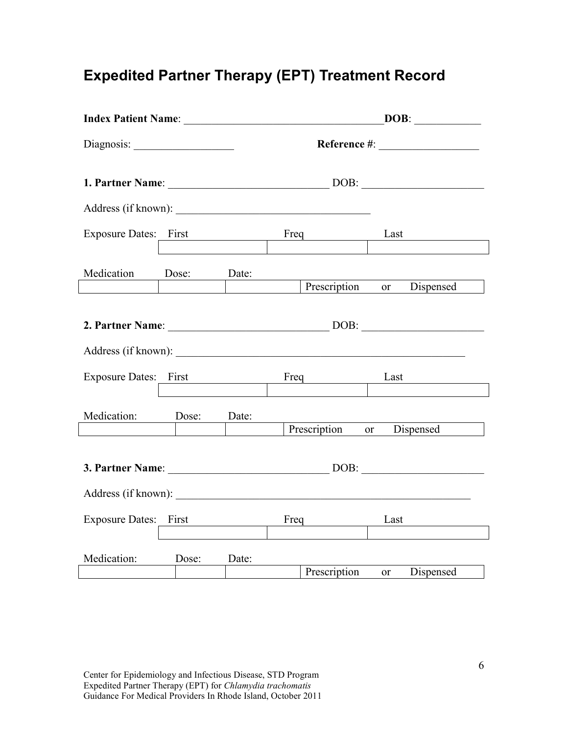# **Expedited Partner Therapy (EPT) Treatment Record**

|                         |       |       | DOB:                            |  |
|-------------------------|-------|-------|---------------------------------|--|
|                         |       |       |                                 |  |
|                         |       |       |                                 |  |
|                         |       |       |                                 |  |
| Exposure Dates: First   |       |       | Freq Last                       |  |
| Medication Dose: Date:  |       |       | Prescription<br>or Dispensed    |  |
|                         |       |       |                                 |  |
| Exposure Dates: First   |       |       | Last                            |  |
| Medication: Dose: Date: |       |       | Prescription or Dispensed       |  |
| 3. Partner Name: DOB:   |       |       |                                 |  |
|                         |       |       |                                 |  |
| Exposure Dates: First   |       |       | Freq Last                       |  |
| Medication:             | Dose: | Date: | Prescription<br>Dispensed<br>or |  |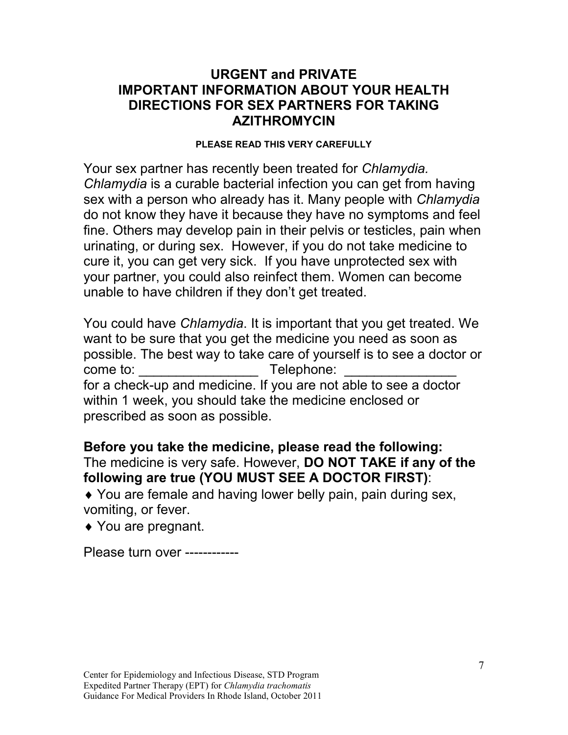## **URGENT and PRIVATE IMPORTANT INFORMATION ABOUT YOUR HEALTH DIRECTIONS FOR SEX PARTNERS FOR TAKING AZITHROMYCIN**

#### **PLEASE READ THIS VERY CAREFULLY**

Your sex partner has recently been treated for *Chlamydia. Chlamydia* is a curable bacterial infection you can get from having sex with a person who already has it. Many people with *Chlamydia*  do not know they have it because they have no symptoms and feel fine. Others may develop pain in their pelvis or testicles, pain when urinating, or during sex. However, if you do not take medicine to cure it, you can get very sick. If you have unprotected sex with your partner, you could also reinfect them. Women can become unable to have children if they don't get treated.

You could have *Chlamydia*. It is important that you get treated. We want to be sure that you get the medicine you need as soon as possible. The best way to take care of yourself is to see a doctor or come to: \_\_\_\_\_\_\_\_\_\_\_\_\_\_\_\_ Telephone: \_\_\_\_\_\_\_\_\_\_\_\_\_\_\_ for a check-up and medicine. If you are not able to see a doctor within 1 week, you should take the medicine enclosed or prescribed as soon as possible.

**Before you take the medicine, please read the following:**  The medicine is very safe. However, **DO NOT TAKE if any of the following are true (YOU MUST SEE A DOCTOR FIRST)**:

♦ You are female and having lower belly pain, pain during sex, vomiting, or fever.

♦ You are pregnant.

Please turn over ------------